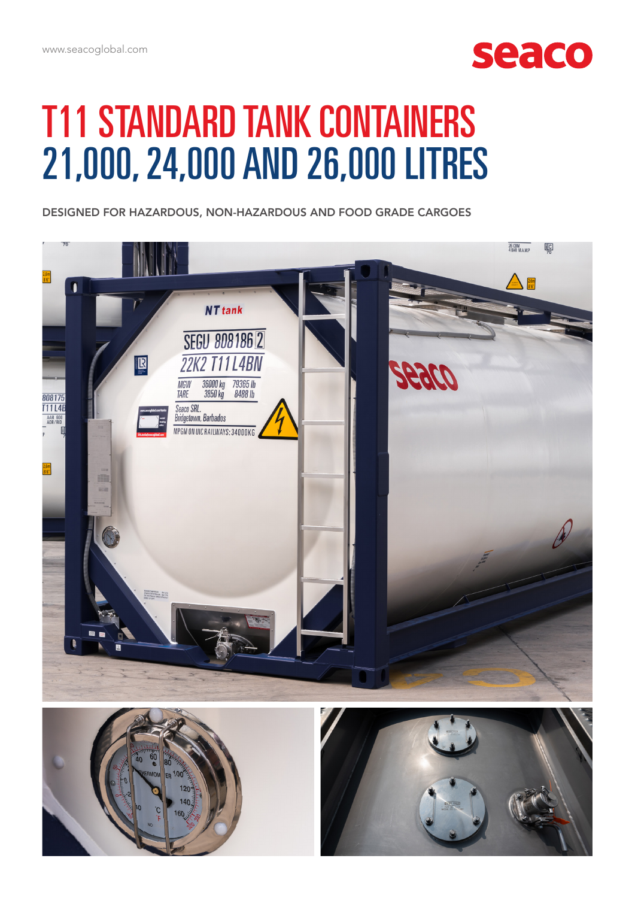

## T11 STANDARD TANK CONTAINERS 21,000, 24,000 AND 26,000 LITRES

DESIGNED FOR HAZARDOUS, NON-HAZARDOUS AND FOOD GRADE CARGOES